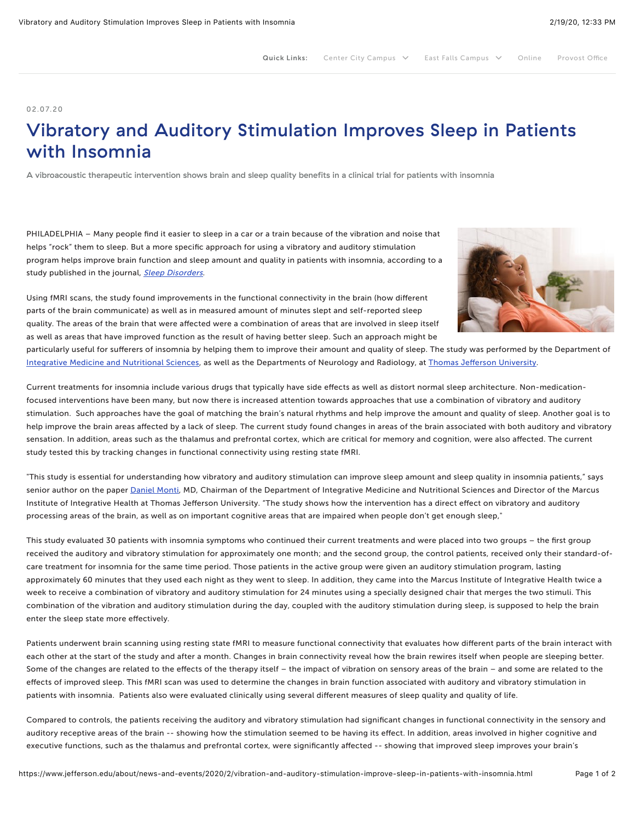## 02.07.20

## Vibratory and Auditory Stimulation Improves Sleep in Patients with Insomnia

A vibroacoustic therapeutic intervention shows brain and sleep quality benefits in a clinical trial for patients with insomnia

PHILADELPHIA – Many people find it easier to sleep in a car or a train because of the vibration and noise that helps "rock" them to sleep. But a more specific approach for using a vibratory and auditory stimulation program helps improve brain function and sleep amount and quality in patients with insomnia, according to a study published in the journal, [Sleep Disorders](https://www.hindawi.com/journals/sd/2020/7846914/).

Using fMRI scans, the study found improvements in the functional connectivity in the brain (how different parts of the brain communicate) as well as in measured amount of minutes slept and self-reported sleep quality. The areas of the brain that were affected were a combination of areas that are involved in sleep itself as well as areas that have improved function as the result of having better sleep. Such an approach might be



particularly useful for sufferers of insomnia by helping them to improve their amount and quality of sleep. The study was performed by the Department of [Integrative Medicine and Nutritional Sciences](https://www.jefferson.edu/university/skmc/departments/integrative-medicine.html), as well as the Departments of Neurology and Radiology, at Thomas Jeff[erson University](https://www.jefferson.edu/).

Current treatments for insomnia include various drugs that typically have side effects as well as distort normal sleep architecture. Non-medicationfocused interventions have been many, but now there is increased attention towards approaches that use a combination of vibratory and auditory stimulation. Such approaches have the goal of matching the brain's natural rhythms and help improve the amount and quality of sleep. Another goal is to help improve the brain areas affected by a lack of sleep. The current study found changes in areas of the brain associated with both auditory and vibratory sensation. In addition, areas such as the thalamus and prefrontal cortex, which are critical for memory and cognition, were also affected. The current study tested this by tracking changes in functional connectivity using resting state fMRI.

"This study is essential for understanding how vibratory and auditory stimulation can improve sleep amount and sleep quality in insomnia patients," says senior author on the paper [Daniel Monti,](https://hospitals.jefferson.edu/find-a-doctor/m/monti-daniel-a/) MD, Chairman of the Department of Integrative Medicine and Nutritional Sciences and Director of the Marcus Institute of Integrative Health at Thomas Jefferson University. "The study shows how the intervention has a direct effect on vibratory and auditory processing areas of the brain, as well as on important cognitive areas that are impaired when people don't get enough sleep,"

This study evaluated 30 patients with insomnia symptoms who continued their current treatments and were placed into two groups – the first group received the auditory and vibratory stimulation for approximately one month; and the second group, the control patients, received only their standard-ofcare treatment for insomnia for the same time period. Those patients in the active group were given an auditory stimulation program, lasting approximately 60 minutes that they used each night as they went to sleep. In addition, they came into the Marcus Institute of Integrative Health twice a week to receive a combination of vibratory and auditory stimulation for 24 minutes using a specially designed chair that merges the two stimuli. This combination of the vibration and auditory stimulation during the day, coupled with the auditory stimulation during sleep, is supposed to help the brain enter the sleep state more effectively.

Patients underwent brain scanning using resting state fMRI to measure functional connectivity that evaluates how different parts of the brain interact with each other at the start of the study and after a month. Changes in brain connectivity reveal how the brain rewires itself when people are sleeping better. Some of the changes are related to the effects of the therapy itself – the impact of vibration on sensory areas of the brain – and some are related to the effects of improved sleep. This fMRI scan was used to determine the changes in brain function associated with auditory and vibratory stimulation in patients with insomnia. Patients also were evaluated clinically using several different measures of sleep quality and quality of life.

Compared to controls, the patients receiving the auditory and vibratory stimulation had significant changes in functional connectivity in the sensory and auditory receptive areas of the brain -- showing how the stimulation seemed to be having its effect. In addition, areas involved in higher cognitive and executive functions, such as the thalamus and prefrontal cortex, were significantly affected -- showing that improved sleep improves your brain's